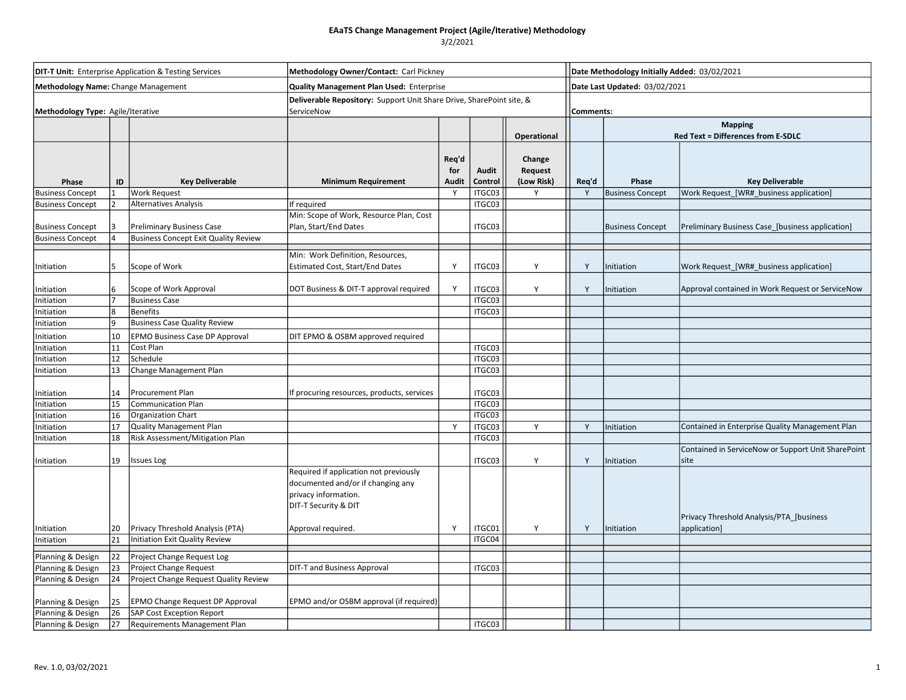| <b>DIT-T Unit:</b> Enterprise Application & Testing Services<br>Methodology Name: Change Management |          |                                                                   | Methodology Owner/Contact: Carl Pickney<br><b>Quality Management Plan Used: Enterprise</b>                                  |                              |                  |                                 |       | Date Methodology Initially Added: 03/02/2021<br>Date Last Updated: 03/02/2021 |                                                            |  |  |
|-----------------------------------------------------------------------------------------------------|----------|-------------------------------------------------------------------|-----------------------------------------------------------------------------------------------------------------------------|------------------------------|------------------|---------------------------------|-------|-------------------------------------------------------------------------------|------------------------------------------------------------|--|--|
|                                                                                                     |          |                                                                   |                                                                                                                             |                              |                  |                                 |       |                                                                               |                                                            |  |  |
|                                                                                                     |          |                                                                   |                                                                                                                             |                              |                  | Operational                     |       | <b>Mapping</b><br>Red Text = Differences from E-SDLC                          |                                                            |  |  |
| Phase                                                                                               | ID       | <b>Key Deliverable</b>                                            | <b>Minimum Requirement</b>                                                                                                  | Req'd<br>for<br><b>Audit</b> | Audit<br>Control | Change<br>Request<br>(Low Risk) | Req'd | Phase                                                                         | <b>Key Deliverable</b>                                     |  |  |
| <b>Business Concept</b>                                                                             |          | <b>Work Request</b>                                               |                                                                                                                             | Y                            | ITGC03           | Y                               | Y     | <b>Business Concept</b>                                                       | Work Request_[WR#_business application]                    |  |  |
| <b>Business Concept</b>                                                                             |          | Alternatives Analysis                                             | If required                                                                                                                 |                              | ITGC03           |                                 |       |                                                                               |                                                            |  |  |
| <b>Business Concept</b>                                                                             |          | <b>Preliminary Business Case</b>                                  | Min: Scope of Work, Resource Plan, Cost<br>Plan, Start/End Dates                                                            |                              | ITGC03           |                                 |       | <b>Business Concept</b>                                                       | Preliminary Business Case_[business application]           |  |  |
| <b>Business Concept</b>                                                                             |          | <b>Business Concept Exit Quality Review</b>                       |                                                                                                                             |                              |                  |                                 |       |                                                                               |                                                            |  |  |
| Initiation                                                                                          |          | Scope of Work                                                     | Min: Work Definition, Resources,<br><b>Estimated Cost, Start/End Dates</b>                                                  | Y                            | ITGC03           | Y                               | Y     | Initiation                                                                    | Work Request_[WR#_business application]                    |  |  |
| nitiation                                                                                           |          | Scope of Work Approval                                            | DOT Business & DIT-T approval required                                                                                      | Y                            | ITGC03           | Y                               | Y     | Initiation                                                                    | Approval contained in Work Request or ServiceNow           |  |  |
| Initiation                                                                                          |          | <b>Business Case</b>                                              |                                                                                                                             |                              | ITGC03           |                                 |       |                                                                               |                                                            |  |  |
| nitiation                                                                                           |          | <b>Benefits</b>                                                   |                                                                                                                             |                              | ITGC03           |                                 |       |                                                                               |                                                            |  |  |
| nitiation                                                                                           |          | <b>Business Case Quality Review</b>                               |                                                                                                                             |                              |                  |                                 |       |                                                                               |                                                            |  |  |
| nitiation                                                                                           | 10       | EPMO Business Case DP Approval                                    | DIT EPMO & OSBM approved required                                                                                           |                              |                  |                                 |       |                                                                               |                                                            |  |  |
| nitiation                                                                                           | 11       | Cost Plan<br>Schedule                                             |                                                                                                                             |                              | ITGC03           |                                 |       |                                                                               |                                                            |  |  |
| nitiation<br>nitiation                                                                              | 12<br>13 | Change Management Plan                                            |                                                                                                                             |                              | ITGC03<br>ITGC03 |                                 |       |                                                                               |                                                            |  |  |
|                                                                                                     |          |                                                                   |                                                                                                                             |                              |                  |                                 |       |                                                                               |                                                            |  |  |
| nitiation                                                                                           | 14       | Procurement Plan                                                  | If procuring resources, products, services                                                                                  |                              | ITGC03           |                                 |       |                                                                               |                                                            |  |  |
| Initiation                                                                                          | 15       | <b>Communication Plan</b>                                         |                                                                                                                             |                              | ITGC03           |                                 |       |                                                                               |                                                            |  |  |
| Initiation                                                                                          | 16       | <b>Organization Chart</b>                                         |                                                                                                                             |                              | ITGC03           |                                 |       |                                                                               |                                                            |  |  |
| Initiation                                                                                          | 17<br>18 | <b>Quality Management Plan</b><br>Risk Assessment/Mitigation Plan |                                                                                                                             | Y                            | ITGC03<br>ITGC03 | Y                               | Y     | Initiation                                                                    | Contained in Enterprise Quality Management Plan            |  |  |
| nitiation<br>Initiation                                                                             | 19       | <b>Issues Log</b>                                                 |                                                                                                                             |                              | ITGC03           | Y                               | Y     | Initiation                                                                    | Contained in ServiceNow or Support Unit SharePoint<br>site |  |  |
|                                                                                                     |          |                                                                   | Required if application not previously<br>documented and/or if changing any<br>privacy information.<br>DIT-T Security & DIT |                              |                  |                                 |       |                                                                               | Privacy Threshold Analysis/PTA_[business                   |  |  |
| Initiation                                                                                          | 20       | Privacy Threshold Analysis (PTA)                                  | Approval required.                                                                                                          | Υ                            | ITGC01           | Y                               | Y     | Initiation                                                                    | application]                                               |  |  |
| Initiation                                                                                          | 21       | <b>Initiation Exit Quality Review</b>                             |                                                                                                                             |                              | ITGC04           |                                 |       |                                                                               |                                                            |  |  |
| Planning & Design                                                                                   | 22       | Project Change Request Log                                        |                                                                                                                             |                              |                  |                                 |       |                                                                               |                                                            |  |  |
| Planning & Design                                                                                   | 23       | Project Change Request                                            | <b>DIT-T and Business Approval</b>                                                                                          |                              | ITGC03           |                                 |       |                                                                               |                                                            |  |  |
| Planning & Design                                                                                   | 24       | Project Change Request Quality Review                             |                                                                                                                             |                              |                  |                                 |       |                                                                               |                                                            |  |  |
| Planning & Design                                                                                   | 25       | EPMO Change Request DP Approval                                   | EPMO and/or OSBM approval (if required)                                                                                     |                              |                  |                                 |       |                                                                               |                                                            |  |  |
| Planning & Design                                                                                   | 26       | <b>SAP Cost Exception Report</b>                                  |                                                                                                                             |                              |                  |                                 |       |                                                                               |                                                            |  |  |
| Planning & Design                                                                                   | 127      | Requirements Management Plan                                      |                                                                                                                             |                              | ITGC03           |                                 |       |                                                                               |                                                            |  |  |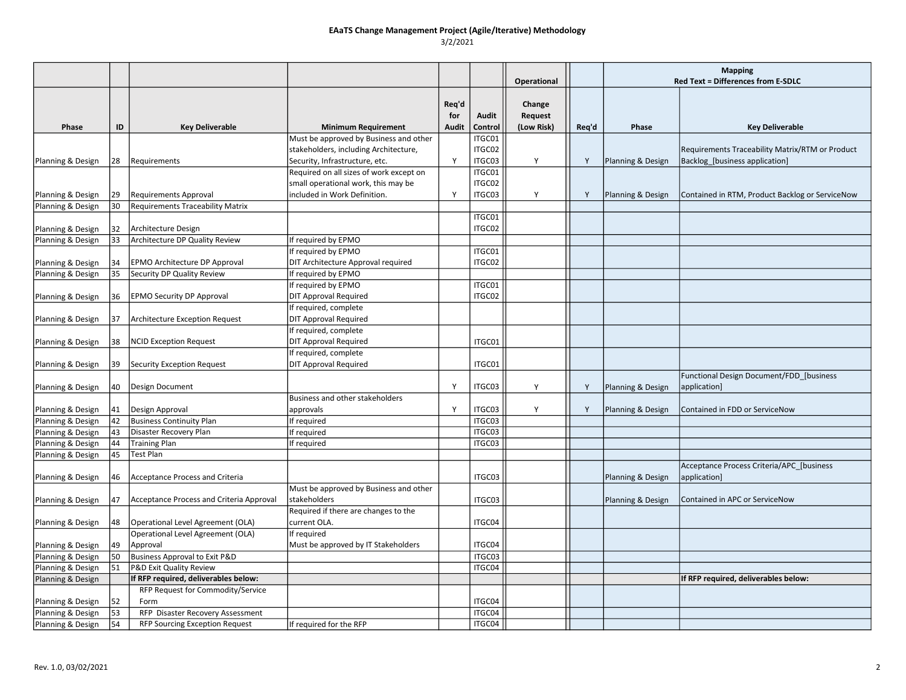|                                        |          |                                                                           |                                                                     |              |                  |             |       | <b>Mapping</b>    |                                                 |
|----------------------------------------|----------|---------------------------------------------------------------------------|---------------------------------------------------------------------|--------------|------------------|-------------|-------|-------------------|-------------------------------------------------|
|                                        |          |                                                                           |                                                                     |              |                  | Operational |       |                   | Red Text = Differences from E-SDLC              |
|                                        |          |                                                                           |                                                                     |              |                  |             |       |                   |                                                 |
|                                        |          |                                                                           |                                                                     | Req'd        |                  | Change      |       |                   |                                                 |
|                                        |          |                                                                           |                                                                     | for          | Audit            | Request     |       |                   |                                                 |
| Phase                                  | ID       | <b>Key Deliverable</b>                                                    | <b>Minimum Requirement</b>                                          | <b>Audit</b> | Control          | (Low Risk)  | Req'd | Phase             | <b>Key Deliverable</b>                          |
|                                        |          |                                                                           | Must be approved by Business and other                              |              | ITGC01           |             |       |                   |                                                 |
|                                        |          |                                                                           | stakeholders, including Architecture,                               |              | ITGC02           |             |       |                   | Requirements Traceability Matrix/RTM or Product |
| Planning & Design                      | 28       | Requirements                                                              | Security, Infrastructure, etc.                                      | Y            | ITGC03           | Y           | Y     | Planning & Design | Backlog_[business application]                  |
|                                        |          |                                                                           | Required on all sizes of work except on                             |              | ITGC01           |             |       |                   |                                                 |
|                                        |          |                                                                           | small operational work, this may be<br>included in Work Definition. | Y            | ITGC02<br>ITGC03 |             |       |                   |                                                 |
| Planning & Design                      | 29<br>30 | <b>Requirements Approval</b><br>Requirements Traceability Matrix          |                                                                     |              |                  | Y           | Y     | Planning & Design | Contained in RTM, Product Backlog or ServiceNow |
| Planning & Design                      |          |                                                                           |                                                                     |              | ITGC01           |             |       |                   |                                                 |
| Planning & Design                      | 32       | Architecture Design                                                       |                                                                     |              | ITGC02           |             |       |                   |                                                 |
| Planning & Design                      | 33       | Architecture DP Quality Review                                            | If required by EPMO                                                 |              |                  |             |       |                   |                                                 |
|                                        |          |                                                                           | If required by EPMO                                                 |              | ITGC01           |             |       |                   |                                                 |
| Planning & Design                      | 34       | EPMO Architecture DP Approval                                             | DIT Architecture Approval required                                  |              | ITGC02           |             |       |                   |                                                 |
| Planning & Design                      | 35       | Security DP Quality Review                                                | If required by EPMO                                                 |              |                  |             |       |                   |                                                 |
|                                        |          |                                                                           | If required by EPMO                                                 |              | ITGC01           |             |       |                   |                                                 |
| Planning & Design                      | 36       | <b>EPMO Security DP Approval</b>                                          | <b>DIT Approval Required</b>                                        |              | ITGC02           |             |       |                   |                                                 |
|                                        |          |                                                                           | If required, complete                                               |              |                  |             |       |                   |                                                 |
| Planning & Design                      | 37       | Architecture Exception Request                                            | <b>DIT Approval Required</b>                                        |              |                  |             |       |                   |                                                 |
|                                        |          |                                                                           | If required, complete                                               |              |                  |             |       |                   |                                                 |
| Planning & Design                      | 38       | <b>NCID Exception Request</b>                                             | <b>DIT Approval Required</b>                                        |              | ITGC01           |             |       |                   |                                                 |
|                                        |          |                                                                           | If required, complete                                               |              |                  |             |       |                   |                                                 |
| Planning & Design                      | 39       | <b>Security Exception Request</b>                                         | <b>DIT Approval Required</b>                                        |              | ITGC01           |             |       |                   |                                                 |
|                                        |          |                                                                           |                                                                     |              |                  |             |       |                   | Functional Design Document/FDD_[business        |
| Planning & Design                      | 40       | Design Document                                                           |                                                                     | Y            | ITGC03           | Y           | Y     | Planning & Design | application]                                    |
|                                        |          |                                                                           | Business and other stakeholders                                     |              |                  |             |       |                   |                                                 |
| Planning & Design                      | 41       | Design Approval                                                           | approvals                                                           | Y            | ITGC03           | Y           | Y     | Planning & Design | Contained in FDD or ServiceNow                  |
| Planning & Design                      | 42       | <b>Business Continuity Plan</b>                                           | If required                                                         |              | ITGC03           |             |       |                   |                                                 |
| Planning & Design                      | 43       | Disaster Recovery Plan                                                    | If required                                                         |              | ITGC03           |             |       |                   |                                                 |
| Planning & Design                      | 44       | <b>Training Plan</b>                                                      | If required                                                         |              | ITGC03           |             |       |                   |                                                 |
| Planning & Design                      | 45       | <b>Test Plan</b>                                                          |                                                                     |              |                  |             |       |                   |                                                 |
|                                        |          |                                                                           |                                                                     |              |                  |             |       |                   | Acceptance Process Criteria/APC_[business       |
| Planning & Design                      | 46       | <b>Acceptance Process and Criteria</b>                                    |                                                                     |              | ITGC03           |             |       | Planning & Design | application]                                    |
|                                        |          |                                                                           | Must be approved by Business and other                              |              |                  |             |       |                   |                                                 |
| Planning & Design                      | 147      | Acceptance Process and Criteria Approval                                  | stakeholders                                                        |              | ITGC03           |             |       | Planning & Design | Contained in APC or ServiceNow                  |
|                                        |          |                                                                           | Required if there are changes to the                                |              |                  |             |       |                   |                                                 |
| Planning & Design                      | 48       | Operational Level Agreement (OLA)                                         | current OLA.                                                        |              | ITGC04           |             |       |                   |                                                 |
|                                        |          | Operational Level Agreement (OLA)                                         | If required                                                         |              |                  |             |       |                   |                                                 |
| Planning & Design                      | 49       | Approval                                                                  | Must be approved by IT Stakeholders                                 |              | ITGC04           |             |       |                   |                                                 |
| Planning & Design                      | 50       | Business Approval to Exit P&D                                             |                                                                     |              | ITGC03           |             |       |                   |                                                 |
| Planning & Design                      | 51       | P&D Exit Quality Review                                                   |                                                                     |              | ITGC04           |             |       |                   |                                                 |
| Planning & Design                      |          | If RFP required, deliverables below:                                      |                                                                     |              |                  |             |       |                   | If RFP required, deliverables below:            |
|                                        |          | RFP Request for Commodity/Service                                         |                                                                     |              |                  |             |       |                   |                                                 |
| Planning & Design                      | 52       | Form                                                                      |                                                                     |              | ITGC04<br>ITGC04 |             |       |                   |                                                 |
| Planning & Design<br>Planning & Design | 53<br>54 | RFP Disaster Recovery Assessment<br><b>RFP Sourcing Exception Request</b> |                                                                     |              | ITGC04           |             |       |                   |                                                 |
|                                        |          |                                                                           | If required for the RFP                                             |              |                  |             |       |                   |                                                 |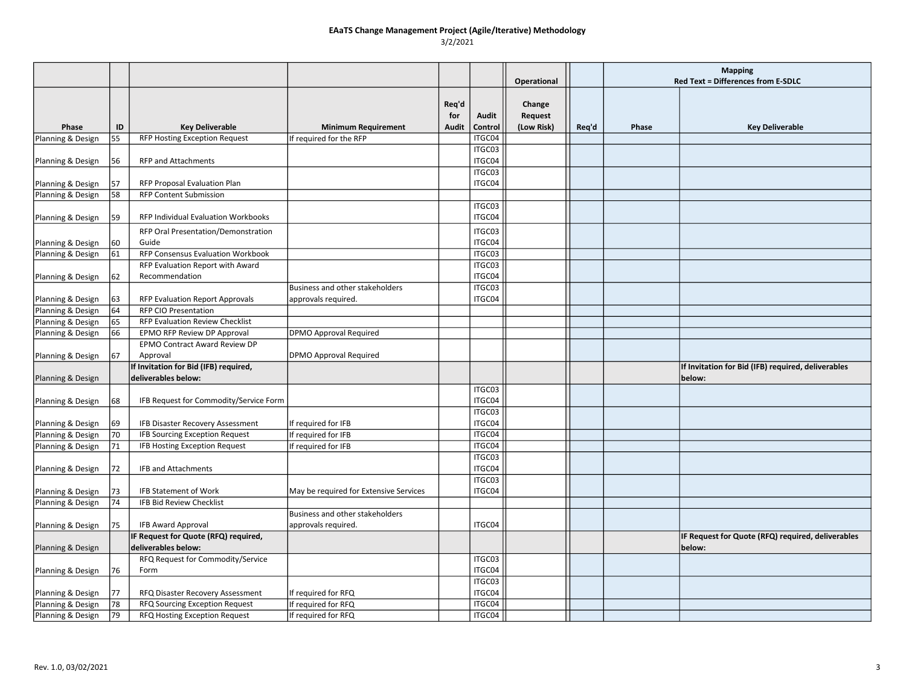|                   |    |                                                              |                                        |                       |                  |                                        |       | <b>Mapping</b> |                                                              |
|-------------------|----|--------------------------------------------------------------|----------------------------------------|-----------------------|------------------|----------------------------------------|-------|----------------|--------------------------------------------------------------|
|                   |    |                                                              |                                        |                       |                  | Operational                            |       |                | <b>Red Text = Differences from E-SDLC</b>                    |
| Phase             | ID | <b>Key Deliverable</b>                                       | <b>Minimum Requirement</b>             | Reg'd<br>for<br>Audit | Audit<br>Control | Change<br><b>Request</b><br>(Low Risk) | Req'd | Phase          | <b>Key Deliverable</b>                                       |
| Planning & Design | 55 | <b>RFP Hosting Exception Request</b>                         | If required for the RFP                |                       | ITGC04           |                                        |       |                |                                                              |
|                   |    |                                                              |                                        |                       | ITGC03           |                                        |       |                |                                                              |
| Planning & Design | 56 | <b>RFP and Attachments</b>                                   |                                        |                       | ITGC04           |                                        |       |                |                                                              |
|                   |    |                                                              |                                        |                       | ITGC03           |                                        |       |                |                                                              |
| Planning & Design | 57 | RFP Proposal Evaluation Plan                                 |                                        |                       | ITGC04           |                                        |       |                |                                                              |
| Planning & Design | 58 | <b>RFP Content Submission</b>                                |                                        |                       |                  |                                        |       |                |                                                              |
| Planning & Design | 59 | RFP Individual Evaluation Workbooks                          |                                        |                       | ITGC03<br>ITGC04 |                                        |       |                |                                                              |
|                   |    | RFP Oral Presentation/Demonstration                          |                                        |                       | ITGC03           |                                        |       |                |                                                              |
| Planning & Design | 60 | Guide                                                        |                                        |                       | ITGC04           |                                        |       |                |                                                              |
| Planning & Design | 61 | RFP Consensus Evaluation Workbook                            |                                        |                       | ITGC03           |                                        |       |                |                                                              |
|                   |    | RFP Evaluation Report with Award                             |                                        |                       | ITGC03           |                                        |       |                |                                                              |
| Planning & Design | 62 | Recommendation                                               |                                        |                       | ITGC04           |                                        |       |                |                                                              |
|                   |    |                                                              | Business and other stakeholders        |                       | ITGC03           |                                        |       |                |                                                              |
| Planning & Design | 63 | RFP Evaluation Report Approvals                              | approvals required.                    |                       | ITGC04           |                                        |       |                |                                                              |
| Planning & Design | 64 | <b>RFP CIO Presentation</b>                                  |                                        |                       |                  |                                        |       |                |                                                              |
| Planning & Design | 65 | RFP Evaluation Review Checklist                              |                                        |                       |                  |                                        |       |                |                                                              |
| Planning & Design | 66 | EPMO RFP Review DP Approval                                  | <b>DPMO Approval Required</b>          |                       |                  |                                        |       |                |                                                              |
|                   |    | EPMO Contract Award Review DP                                |                                        |                       |                  |                                        |       |                |                                                              |
| Planning & Design | 67 | Approval                                                     | <b>DPMO Approval Required</b>          |                       |                  |                                        |       |                |                                                              |
| Planning & Design |    | If Invitation for Bid (IFB) required,<br>deliverables below: |                                        |                       |                  |                                        |       |                | If Invitation for Bid (IFB) required, deliverables<br>below: |
|                   |    |                                                              |                                        |                       | ITGC03           |                                        |       |                |                                                              |
| Planning & Design | 68 | IFB Request for Commodity/Service Form                       |                                        |                       | ITGC04           |                                        |       |                |                                                              |
|                   |    |                                                              |                                        |                       | ITGC03           |                                        |       |                |                                                              |
| Planning & Design | 69 | IFB Disaster Recovery Assessment                             | If required for IFB                    |                       | ITGC04           |                                        |       |                |                                                              |
| Planning & Design | 70 | <b>IFB Sourcing Exception Request</b>                        | If required for IFB                    |                       | ITGC04           |                                        |       |                |                                                              |
| Planning & Design | 71 | IFB Hosting Exception Request                                | If required for IFB                    |                       | ITGC04           |                                        |       |                |                                                              |
|                   |    |                                                              |                                        |                       | ITGC03           |                                        |       |                |                                                              |
| Planning & Design | 72 | <b>IFB and Attachments</b>                                   |                                        |                       | ITGC04           |                                        |       |                |                                                              |
|                   |    |                                                              |                                        |                       | ITGC03           |                                        |       |                |                                                              |
| Planning & Design | 73 | <b>IFB Statement of Work</b>                                 | May be required for Extensive Services |                       | ITGC04           |                                        |       |                |                                                              |
| Planning & Design | 74 | <b>IFB Bid Review Checklist</b>                              |                                        |                       |                  |                                        |       |                |                                                              |
|                   |    |                                                              | Business and other stakeholders        |                       |                  |                                        |       |                |                                                              |
| Planning & Design | 75 | <b>IFB Award Approval</b>                                    | approvals required.                    |                       | ITGC04           |                                        |       |                |                                                              |
| Planning & Design |    | IF Request for Quote (RFQ) required,<br>deliverables below:  |                                        |                       |                  |                                        |       |                | IF Request for Quote (RFQ) required, deliverables<br>below:  |
|                   |    | RFQ Request for Commodity/Service                            |                                        |                       | ITGC03           |                                        |       |                |                                                              |
| Planning & Design | 76 | Form                                                         |                                        |                       | ITGC04           |                                        |       |                |                                                              |
|                   |    |                                                              |                                        |                       | ITGC03           |                                        |       |                |                                                              |
| Planning & Design | 77 | RFQ Disaster Recovery Assessment                             | If required for RFQ                    |                       | ITGC04           |                                        |       |                |                                                              |
| Planning & Design | 78 | RFQ Sourcing Exception Request                               | If required for RFQ                    |                       | ITGC04           |                                        |       |                |                                                              |
| Planning & Design | 79 | RFQ Hosting Exception Request                                | If required for RFQ                    |                       | ITGC04           |                                        |       |                |                                                              |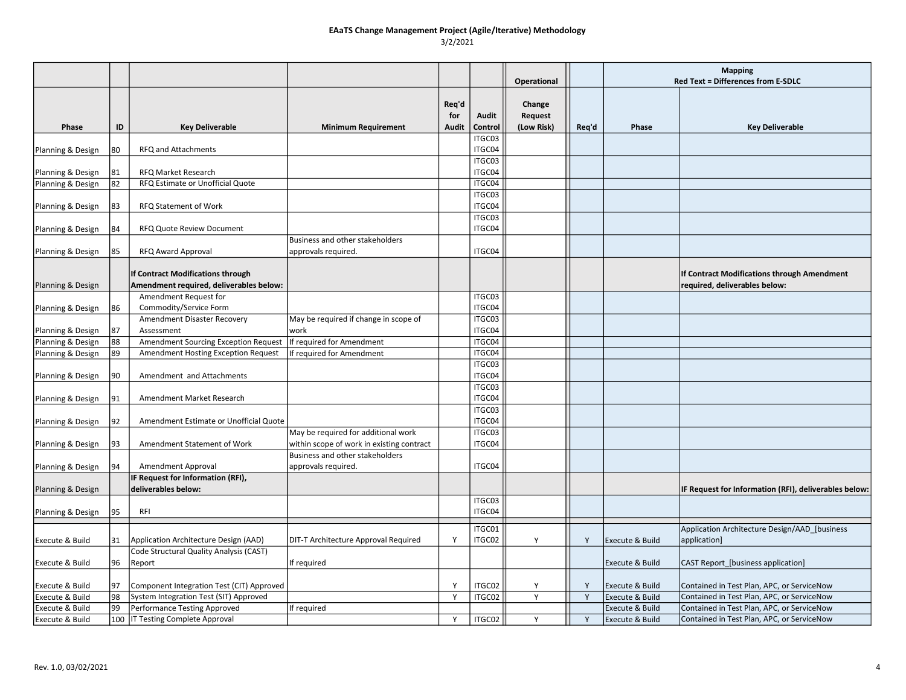|                   |    |                                           |                                           |                              |                  | <b>Operational</b>              |       | <b>Mapping</b><br><b>Red Text = Differences from E-SDLC</b> |                                                       |
|-------------------|----|-------------------------------------------|-------------------------------------------|------------------------------|------------------|---------------------------------|-------|-------------------------------------------------------------|-------------------------------------------------------|
| Phase             | ID | <b>Key Deliverable</b>                    | <b>Minimum Requirement</b>                | Req'd<br>for<br><b>Audit</b> | Audit<br>Control | Change<br>Request<br>(Low Risk) | Req'd | Phase                                                       | <b>Key Deliverable</b>                                |
|                   |    |                                           |                                           |                              | ITGC03           |                                 |       |                                                             |                                                       |
| Planning & Design | 80 | RFQ and Attachments                       |                                           |                              | ITGC04           |                                 |       |                                                             |                                                       |
|                   |    |                                           |                                           |                              | ITGC03           |                                 |       |                                                             |                                                       |
| Planning & Design | 81 | <b>RFQ Market Research</b>                |                                           |                              | ITGC04           |                                 |       |                                                             |                                                       |
| Planning & Design | 82 | RFQ Estimate or Unofficial Quote          |                                           |                              | ITGC04           |                                 |       |                                                             |                                                       |
|                   |    |                                           |                                           |                              | ITGC03           |                                 |       |                                                             |                                                       |
| Planning & Design | 83 | <b>RFQ Statement of Work</b>              |                                           |                              | ITGC04           |                                 |       |                                                             |                                                       |
|                   |    |                                           |                                           |                              | ITGC03<br>ITGC04 |                                 |       |                                                             |                                                       |
| Planning & Design | 84 | <b>RFQ Quote Review Document</b>          | Business and other stakeholders           |                              |                  |                                 |       |                                                             |                                                       |
| Planning & Design | 85 | RFQ Award Approval                        | approvals required.                       |                              | ITGC04           |                                 |       |                                                             |                                                       |
|                   |    |                                           |                                           |                              |                  |                                 |       |                                                             |                                                       |
|                   |    | If Contract Modifications through         |                                           |                              |                  |                                 |       |                                                             | If Contract Modifications through Amendment           |
| Planning & Design |    | Amendment required, deliverables below:   |                                           |                              |                  |                                 |       |                                                             | required, deliverables below:                         |
|                   |    | Amendment Request for                     |                                           |                              | ITGC03           |                                 |       |                                                             |                                                       |
| Planning & Design | 86 | Commodity/Service Form                    |                                           |                              | ITGC04           |                                 |       |                                                             |                                                       |
|                   |    | Amendment Disaster Recovery               | May be required if change in scope of     |                              | ITGC03           |                                 |       |                                                             |                                                       |
| Planning & Design | 87 | Assessment                                | work                                      |                              | ITGC04           |                                 |       |                                                             |                                                       |
| Planning & Design | 88 | Amendment Sourcing Exception Request      | If required for Amendment                 |                              | ITGC04           |                                 |       |                                                             |                                                       |
| Planning & Design | 89 | Amendment Hosting Exception Request       | If required for Amendment                 |                              | ITGC04           |                                 |       |                                                             |                                                       |
|                   |    |                                           |                                           |                              | ITGC03           |                                 |       |                                                             |                                                       |
| Planning & Design | 90 | Amendment and Attachments                 |                                           |                              | ITGC04           |                                 |       |                                                             |                                                       |
|                   |    |                                           |                                           |                              | ITGC03           |                                 |       |                                                             |                                                       |
| Planning & Design | 91 | Amendment Market Research                 |                                           |                              | ITGC04           |                                 |       |                                                             |                                                       |
|                   | 92 | Amendment Estimate or Unofficial Quote    |                                           |                              | ITGC03<br>ITGC04 |                                 |       |                                                             |                                                       |
| Planning & Design |    |                                           | May be required for additional work       |                              | ITGC03           |                                 |       |                                                             |                                                       |
| Planning & Design | 93 | Amendment Statement of Work               | within scope of work in existing contract |                              | ITGC04           |                                 |       |                                                             |                                                       |
|                   |    |                                           | Business and other stakeholders           |                              |                  |                                 |       |                                                             |                                                       |
| Planning & Design | 94 | Amendment Approval                        | approvals required.                       |                              | ITGC04           |                                 |       |                                                             |                                                       |
|                   |    | IF Request for Information (RFI),         |                                           |                              |                  |                                 |       |                                                             |                                                       |
| Planning & Design |    | deliverables below:                       |                                           |                              |                  |                                 |       |                                                             | IF Request for Information (RFI), deliverables below: |
|                   |    |                                           |                                           |                              | ITGC03           |                                 |       |                                                             |                                                       |
| Planning & Design | 95 | RFI                                       |                                           |                              | ITGC04           |                                 |       |                                                             |                                                       |
|                   |    |                                           |                                           |                              | ITGC01           |                                 |       |                                                             | Application Architecture Design/AAD [business         |
| Execute & Build   | 31 | Application Architecture Design (AAD)     | DIT-T Architecture Approval Required      | Y                            | ITGC02           | Y                               | Y     | <b>Execute &amp; Build</b>                                  | application]                                          |
|                   |    | Code Structural Quality Analysis (CAST)   |                                           |                              |                  |                                 |       |                                                             |                                                       |
| Execute & Build   | 96 | Report                                    | If required                               |                              |                  |                                 |       | <b>Execute &amp; Build</b>                                  | CAST Report_[business application]                    |
|                   |    |                                           |                                           |                              |                  |                                 |       |                                                             |                                                       |
| Execute & Build   | 97 | Component Integration Test (CIT) Approved |                                           | Y                            | ITGC02           | Y                               | Y     | Execute & Build                                             | Contained in Test Plan, APC, or ServiceNow            |
| Execute & Build   | 98 | System Integration Test (SIT) Approved    |                                           | Y                            | ITGC02           | Y                               | Y     | Execute & Build                                             | Contained in Test Plan, APC, or ServiceNow            |
| Execute & Build   | 99 | Performance Testing Approved              | If required                               |                              |                  |                                 |       | Execute & Build                                             | Contained in Test Plan, APC, or ServiceNow            |
| Execute & Build   |    | 100   IT Testing Complete Approval        |                                           | Y                            | ITGC02           | Y                               | Y     | Execute & Build                                             | Contained in Test Plan, APC, or ServiceNow            |